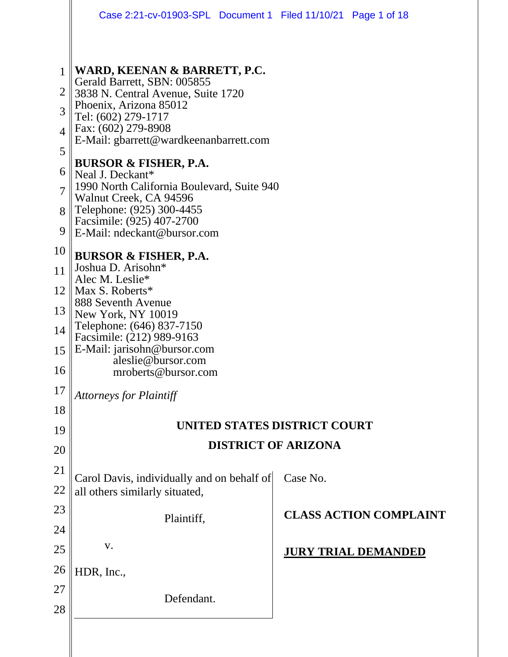|                     | Case 2:21-cv-01903-SPL Document 1 Filed 11/10/21 Page 1 of 18        |          |                               |  |  |
|---------------------|----------------------------------------------------------------------|----------|-------------------------------|--|--|
|                     |                                                                      |          |                               |  |  |
| $\mathbf{1}$        | WARD, KEENAN & BARRETT, P.C.<br>Gerald Barrett, SBN: 005855          |          |                               |  |  |
| $\overline{2}$      | 3838 N. Central Avenue, Suite 1720<br>Phoenix, Arizona 85012         |          |                               |  |  |
| 3<br>$\overline{4}$ | Tel: (602) 279-1717<br>Fax: (602) 279-8908                           |          |                               |  |  |
| 5                   | E-Mail: gbarrett@wardkeenanbarrett.com                               |          |                               |  |  |
| 6                   | <b>BURSOR &amp; FISHER, P.A.</b><br>Neal J. Deckant*                 |          |                               |  |  |
| $\overline{7}$      | 1990 North California Boulevard, Suite 940<br>Walnut Creek, CA 94596 |          |                               |  |  |
| 8                   | Telephone: (925) 300-4455<br>Facsimile: (925) 407-2700               |          |                               |  |  |
| 9                   | E-Mail: ndeckant@bursor.com                                          |          |                               |  |  |
| 10<br>11            | <b>BURSOR &amp; FISHER, P.A.</b><br>Joshua D. Arisohn*               |          |                               |  |  |
| 12                  | Alec M. Leslie*<br>Max S. Roberts*                                   |          |                               |  |  |
| 13                  | 888 Seventh Avenue<br>New York, NY 10019                             |          |                               |  |  |
| 14                  | Telephone: (646) 837-7150<br>Facsimile: (212) 989-9163               |          |                               |  |  |
| 15                  | E-Mail: jarisohn@bursor.com<br>aleslie@bursor.com                    |          |                               |  |  |
| 16<br>17            | mroberts@bursor.com                                                  |          |                               |  |  |
| 18                  | <b>Attorneys for Plaintiff</b>                                       |          |                               |  |  |
| 19                  | UNITED STATES DISTRICT COURT                                         |          |                               |  |  |
| 20                  | <b>DISTRICT OF ARIZONA</b>                                           |          |                               |  |  |
| 21                  | Carol Davis, individually and on behalf of                           | Case No. |                               |  |  |
| 22<br>23            | all others similarly situated,                                       |          |                               |  |  |
| 24                  | Plaintiff,                                                           |          | <b>CLASS ACTION COMPLAINT</b> |  |  |
| 25                  | V.                                                                   |          | <b>JURY TRIAL DEMANDED</b>    |  |  |
| 26                  | HDR, Inc.,                                                           |          |                               |  |  |
| 27                  | Defendant.                                                           |          |                               |  |  |
| 28                  |                                                                      |          |                               |  |  |
|                     |                                                                      |          |                               |  |  |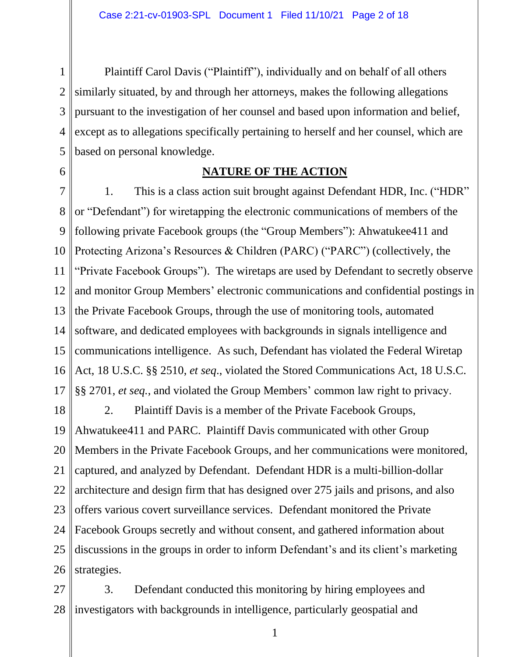1 2 3 4 5 Plaintiff Carol Davis ("Plaintiff"), individually and on behalf of all others similarly situated, by and through her attorneys, makes the following allegations pursuant to the investigation of her counsel and based upon information and belief, except as to allegations specifically pertaining to herself and her counsel, which are based on personal knowledge.

6

#### **NATURE OF THE ACTION**

7 8 9 10 11 12 13 14 15 16 17 1. This is a class action suit brought against Defendant HDR, Inc. ("HDR" or "Defendant") for wiretapping the electronic communications of members of the following private Facebook groups (the "Group Members"): Ahwatukee411 and Protecting Arizona's Resources & Children (PARC) ("PARC") (collectively, the "Private Facebook Groups"). The wiretaps are used by Defendant to secretly observe and monitor Group Members' electronic communications and confidential postings in the Private Facebook Groups, through the use of monitoring tools, automated software, and dedicated employees with backgrounds in signals intelligence and communications intelligence. As such, Defendant has violated the Federal Wiretap Act, 18 U.S.C. §§ 2510, *et seq*., violated the Stored Communications Act, 18 U.S.C. §§ 2701, *et seq.*, and violated the Group Members' common law right to privacy.

18 19 20 21 22 23 24 25 26 2. Plaintiff Davis is a member of the Private Facebook Groups, Ahwatukee411 and PARC. Plaintiff Davis communicated with other Group Members in the Private Facebook Groups, and her communications were monitored, captured, and analyzed by Defendant. Defendant HDR is a multi-billion-dollar architecture and design firm that has designed over 275 jails and prisons, and also offers various covert surveillance services. Defendant monitored the Private Facebook Groups secretly and without consent, and gathered information about discussions in the groups in order to inform Defendant's and its client's marketing strategies.

27 28 investigators with backgrounds in intelligence, particularly geospatial and 3. Defendant conducted this monitoring by hiring employees and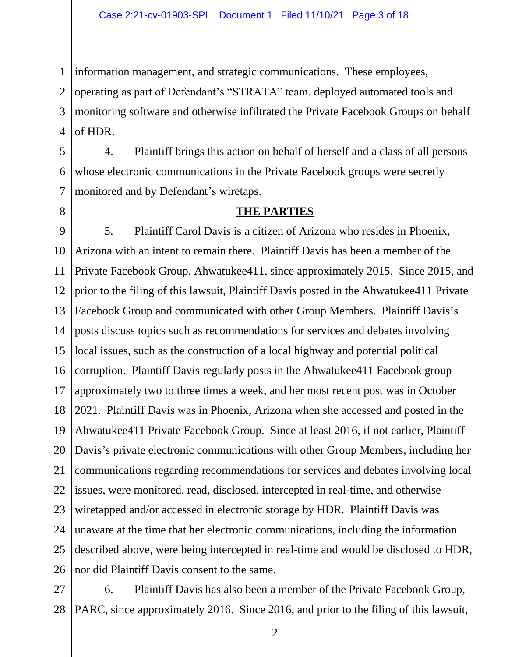1 information management, and strategic communications. These employees,

2 3 4 operating as part of Defendant's "STRATA" team, deployed automated tools and monitoring software and otherwise infiltrated the Private Facebook Groups on behalf of HDR.

5 6 7 4. Plaintiff brings this action on behalf of herself and a class of all persons whose electronic communications in the Private Facebook groups were secretly monitored and by Defendant's wiretaps.

8

#### **THE PARTIES**

9 10 11 12 13 14 15 16 17 18 19 20 21 22 23 24 25 26 5. Plaintiff Carol Davis is a citizen of Arizona who resides in Phoenix, Arizona with an intent to remain there. Plaintiff Davis has been a member of the Private Facebook Group, Ahwatukee411, since approximately 2015. Since 2015, and prior to the filing of this lawsuit, Plaintiff Davis posted in the Ahwatukee411 Private Facebook Group and communicated with other Group Members. Plaintiff Davis's posts discuss topics such as recommendations for services and debates involving local issues, such as the construction of a local highway and potential political corruption. Plaintiff Davis regularly posts in the Ahwatukee411 Facebook group approximately two to three times a week, and her most recent post was in October 2021. Plaintiff Davis was in Phoenix, Arizona when she accessed and posted in the Ahwatukee411 Private Facebook Group. Since at least 2016, if not earlier, Plaintiff Davis's private electronic communications with other Group Members, including her communications regarding recommendations for services and debates involving local issues, were monitored, read, disclosed, intercepted in real-time, and otherwise wiretapped and/or accessed in electronic storage by HDR. Plaintiff Davis was unaware at the time that her electronic communications, including the information described above, were being intercepted in real-time and would be disclosed to HDR, nor did Plaintiff Davis consent to the same.

27 28 6. Plaintiff Davis has also been a member of the Private Facebook Group, PARC, since approximately 2016. Since 2016, and prior to the filing of this lawsuit,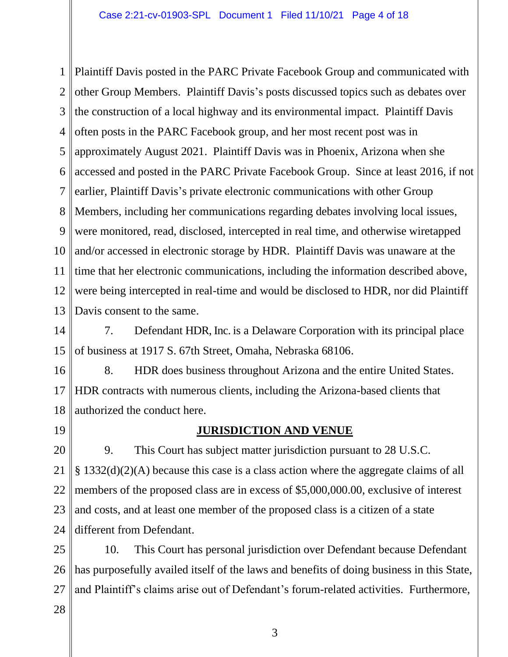1 2 3 4 5 6 7 8 9 10 11 12 13 Plaintiff Davis posted in the PARC Private Facebook Group and communicated with other Group Members. Plaintiff Davis's posts discussed topics such as debates over the construction of a local highway and its environmental impact. Plaintiff Davis often posts in the PARC Facebook group, and her most recent post was in approximately August 2021. Plaintiff Davis was in Phoenix, Arizona when she accessed and posted in the PARC Private Facebook Group. Since at least 2016, if not earlier, Plaintiff Davis's private electronic communications with other Group Members, including her communications regarding debates involving local issues, were monitored, read, disclosed, intercepted in real time, and otherwise wiretapped and/or accessed in electronic storage by HDR. Plaintiff Davis was unaware at the time that her electronic communications, including the information described above, were being intercepted in real-time and would be disclosed to HDR, nor did Plaintiff Davis consent to the same.

14 15 7. Defendant HDR, Inc. is a Delaware Corporation with its principal place of business at 1917 S. 67th Street, Omaha, Nebraska 68106.

16 17 18 8. HDR does business throughout Arizona and the entire United States. HDR contracts with numerous clients, including the Arizona-based clients that authorized the conduct here.

19

#### **JURISDICTION AND VENUE**

20 21 22 23 24 9. This Court has subject matter jurisdiction pursuant to 28 U.S.C. § 1332(d)(2)(A) because this case is a class action where the aggregate claims of all members of the proposed class are in excess of \$5,000,000.00, exclusive of interest and costs, and at least one member of the proposed class is a citizen of a state different from Defendant.

25 26 27 10. This Court has personal jurisdiction over Defendant because Defendant has purposefully availed itself of the laws and benefits of doing business in this State, and Plaintiff's claims arise out of Defendant's forum-related activities. Furthermore,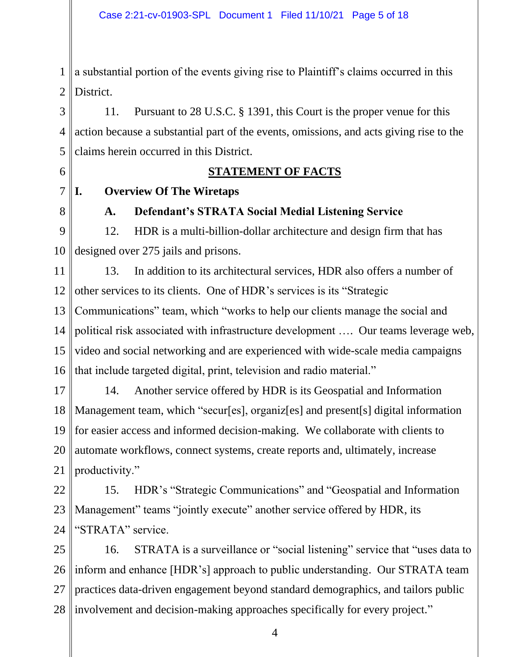1 2 a substantial portion of the events giving rise to Plaintiff's claims occurred in this District.

3 4 5 11. Pursuant to 28 U.S.C. § 1391, this Court is the proper venue for this action because a substantial part of the events, omissions, and acts giving rise to the claims herein occurred in this District.

6

7

#### **STATEMENT OF FACTS**

**I. Overview Of The Wiretaps**

8

#### **A. Defendant's STRATA Social Medial Listening Service**

9 10 12. HDR is a multi-billion-dollar architecture and design firm that has designed over 275 jails and prisons.

11 12 13 14 15 16 13. In addition to its architectural services, HDR also offers a number of other services to its clients. One of HDR's services is its "Strategic Communications" team, which "works to help our clients manage the social and political risk associated with infrastructure development …. Our teams leverage web, video and social networking and are experienced with wide-scale media campaigns that include targeted digital, print, television and radio material."

17 18 19 20 21 14. Another service offered by HDR is its Geospatial and Information Management team, which "secur[es], organiz[es] and present[s] digital information for easier access and informed decision-making. We collaborate with clients to automate workflows, connect systems, create reports and, ultimately, increase productivity."

22 23 24 15. HDR's "Strategic Communications" and "Geospatial and Information Management" teams "jointly execute" another service offered by HDR, its "STRATA" service.

25 26 27 28 16. STRATA is a surveillance or "social listening" service that "uses data to inform and enhance [HDR's] approach to public understanding. Our STRATA team practices data-driven engagement beyond standard demographics, and tailors public involvement and decision-making approaches specifically for every project."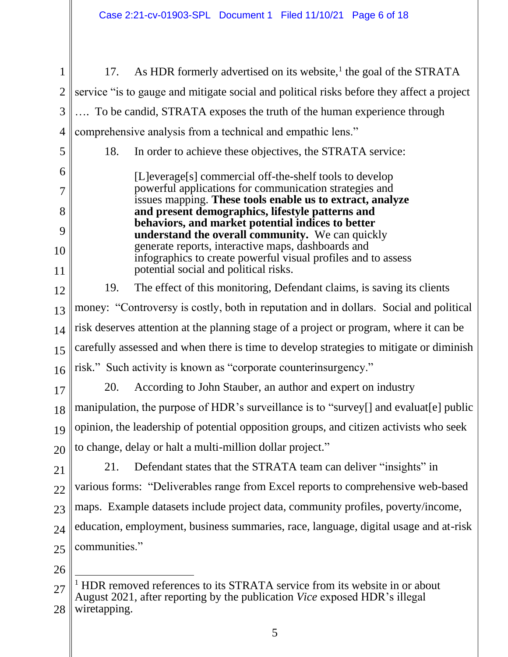- 1 2 3 4 5 6 7 8 9 10 11 12 13 14 15 16 17 18 19 20 21 22 23 24 25 26 27 17. As HDR formerly advertised on its website,<sup>1</sup> the goal of the STRATA service "is to gauge and mitigate social and political risks before they affect a project …. To be candid, STRATA exposes the truth of the human experience through comprehensive analysis from a technical and empathic lens." 18. In order to achieve these objectives, the STRATA service: [L]everage[s] commercial off-the-shelf tools to develop powerful applications for communication strategies and issues mapping. **These tools enable us to extract, analyze and present demographics, lifestyle patterns and behaviors, and market potential indices to better understand the overall community.** We can quickly generate reports, interactive maps, dashboards and infographics to create powerful visual profiles and to assess potential social and political risks. 19. The effect of this monitoring, Defendant claims, is saving its clients money: "Controversy is costly, both in reputation and in dollars. Social and political risk deserves attention at the planning stage of a project or program, where it can be carefully assessed and when there is time to develop strategies to mitigate or diminish risk." Such activity is known as "corporate counterinsurgency." 20. According to John Stauber, an author and expert on industry manipulation, the purpose of HDR's surveillance is to "survey[] and evaluat[e] public opinion, the leadership of potential opposition groups, and citizen activists who seek to change, delay or halt a multi-million dollar project." 21. Defendant states that the STRATA team can deliver "insights" in various forms: "Deliverables range from Excel reports to comprehensive web-based maps. Example datasets include project data, community profiles, poverty/income, education, employment, business summaries, race, language, digital usage and at-risk communities." <sup>1</sup> HDR removed references to its STRATA service from its website in or about
- 28 August 2021, after reporting by the publication *Vice* exposed HDR's illegal wiretapping.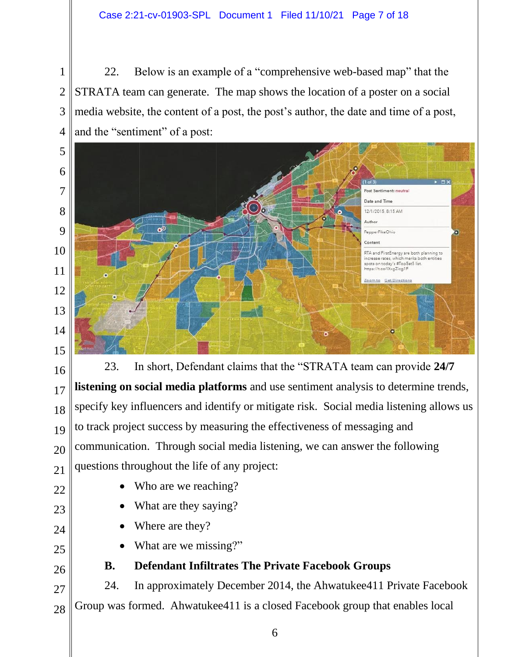#### Case 2:21-cv-01903-SPL Document 1 Filed 11/10/21 Page 7 of 18

 22. Below is an example of a "comprehensive web-based map" that the STRATA team can generate. The map shows the location of a poster on a social media website, the content of a post, the post's author, the date and time of a post, and the "sentiment" of a post:



 23. In short, Defendant claims that the "STRATA team can provide **24/7 listening on social media platforms** and use sentiment analysis to determine trends, specify key influencers and identify or mitigate risk. Social media listening allows us to track project success by measuring the effectiveness of messaging and communication. Through social media listening, we can answer the following questions throughout the life of any project:

- Who are we reaching?
- What are they saying?
- Where are they?
- What are we missing?"
- **B. Defendant Infiltrates The Private Facebook Groups**

 24. In approximately December 2014, the Ahwatukee411 Private Facebook Group was formed. Ahwatukee411 is a closed Facebook group that enables local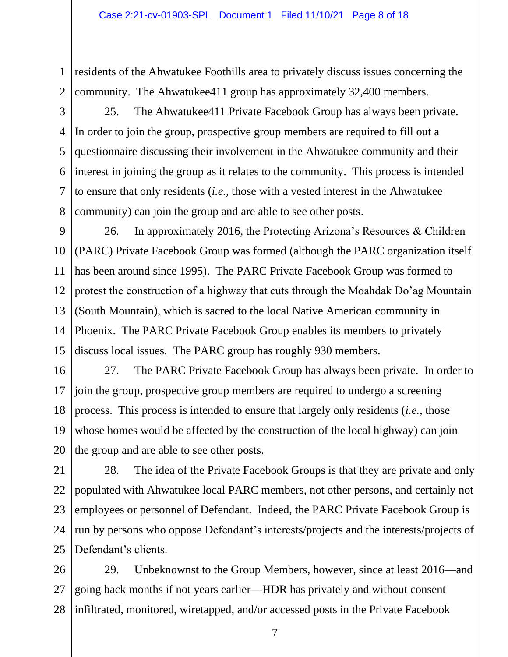1 2 residents of the Ahwatukee Foothills area to privately discuss issues concerning the community. The Ahwatukee411 group has approximately 32,400 members.

3 4 5 6 7 8 25. The Ahwatukee411 Private Facebook Group has always been private. In order to join the group, prospective group members are required to fill out a questionnaire discussing their involvement in the Ahwatukee community and their interest in joining the group as it relates to the community. This process is intended to ensure that only residents (*i.e.*, those with a vested interest in the Ahwatukee community) can join the group and are able to see other posts.

9 10 11 12 13 14 15 26. In approximately 2016, the Protecting Arizona's Resources & Children (PARC) Private Facebook Group was formed (although the PARC organization itself has been around since 1995). The PARC Private Facebook Group was formed to protest the construction of a highway that cuts through the Moahdak Do'ag Mountain (South Mountain), which is sacred to the local Native American community in Phoenix. The PARC Private Facebook Group enables its members to privately discuss local issues. The PARC group has roughly 930 members.

16 17 18 19 20 27. The PARC Private Facebook Group has always been private. In order to join the group, prospective group members are required to undergo a screening process. This process is intended to ensure that largely only residents (*i.e.*, those whose homes would be affected by the construction of the local highway) can join the group and are able to see other posts.

21 22 23 24 25 28. The idea of the Private Facebook Groups is that they are private and only populated with Ahwatukee local PARC members, not other persons, and certainly not employees or personnel of Defendant. Indeed, the PARC Private Facebook Group is run by persons who oppose Defendant's interests/projects and the interests/projects of Defendant's clients.

26 27 28 29. Unbeknownst to the Group Members, however, since at least 2016—and going back months if not years earlier—HDR has privately and without consent infiltrated, monitored, wiretapped, and/or accessed posts in the Private Facebook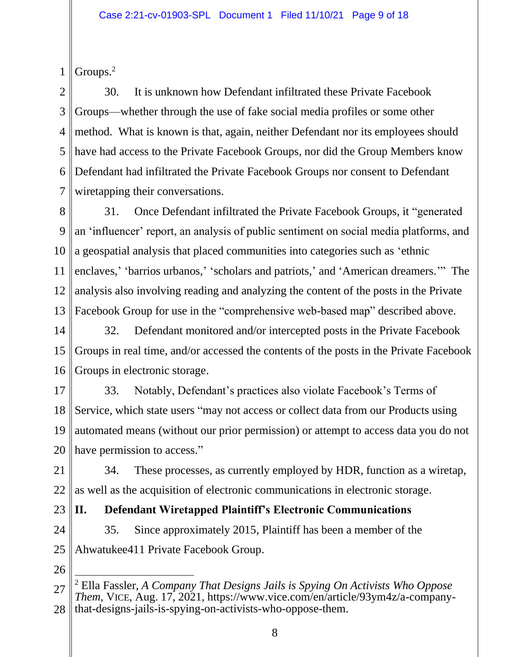1 Groups.<sup>2</sup>

2 3 4 5 6 7 30. It is unknown how Defendant infiltrated these Private Facebook Groups—whether through the use of fake social media profiles or some other method. What is known is that, again, neither Defendant nor its employees should have had access to the Private Facebook Groups, nor did the Group Members know Defendant had infiltrated the Private Facebook Groups nor consent to Defendant wiretapping their conversations.

8 9 10 11 12 13 31. Once Defendant infiltrated the Private Facebook Groups, it "generated an 'influencer' report, an analysis of public sentiment on social media platforms, and a geospatial analysis that placed communities into categories such as 'ethnic enclaves,' 'barrios urbanos,' 'scholars and patriots,' and 'American dreamers.'" The analysis also involving reading and analyzing the content of the posts in the Private Facebook Group for use in the "comprehensive web-based map" described above.

14 15 16 32. Defendant monitored and/or intercepted posts in the Private Facebook Groups in real time, and/or accessed the contents of the posts in the Private Facebook Groups in electronic storage.

17 18 19 20 33. Notably, Defendant's practices also violate Facebook's Terms of Service, which state users "may not access or collect data from our Products using automated means (without our prior permission) or attempt to access data you do not have permission to access."

21 22 34. These processes, as currently employed by HDR, function as a wiretap, as well as the acquisition of electronic communications in electronic storage.

23 **II. Defendant Wiretapped Plaintiff's Electronic Communications** 

24 25 35. Since approximately 2015, Plaintiff has been a member of the Ahwatukee411 Private Facebook Group.

<sup>27</sup> 28 <sup>2</sup> Ella Fassler, *A Company That Designs Jails is Spying On Activists Who Oppose Them*, VICE, Aug. 17, 2021, https://www.vice.com/en/article/93ym4z/a-companythat-designs-jails-is-spying-on-activists-who-oppose-them.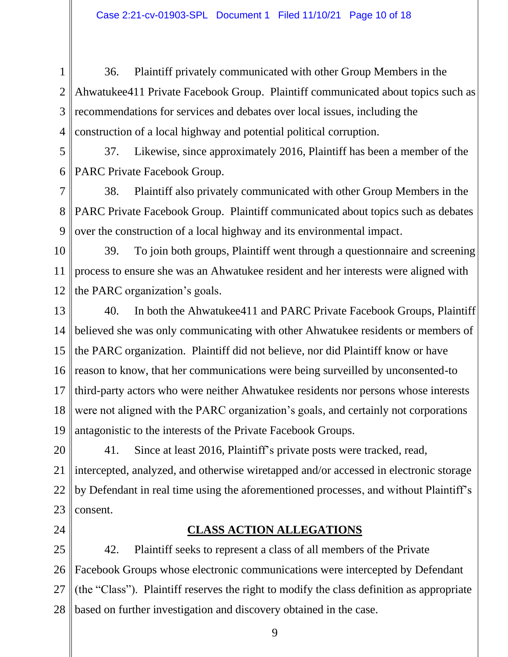1 2 3 4 36. Plaintiff privately communicated with other Group Members in the Ahwatukee411 Private Facebook Group. Plaintiff communicated about topics such as recommendations for services and debates over local issues, including the construction of a local highway and potential political corruption.

5 6 37. Likewise, since approximately 2016, Plaintiff has been a member of the PARC Private Facebook Group.

7 8 9 38. Plaintiff also privately communicated with other Group Members in the PARC Private Facebook Group. Plaintiff communicated about topics such as debates over the construction of a local highway and its environmental impact.

10 11 12 39. To join both groups, Plaintiff went through a questionnaire and screening process to ensure she was an Ahwatukee resident and her interests were aligned with the PARC organization's goals.

13 14 15 16 17 18 19 40. In both the Ahwatukee411 and PARC Private Facebook Groups, Plaintiff believed she was only communicating with other Ahwatukee residents or members of the PARC organization. Plaintiff did not believe, nor did Plaintiff know or have reason to know, that her communications were being surveilled by unconsented-to third-party actors who were neither Ahwatukee residents nor persons whose interests were not aligned with the PARC organization's goals, and certainly not corporations antagonistic to the interests of the Private Facebook Groups.

20 21 22 23 41. Since at least 2016, Plaintiff's private posts were tracked, read, intercepted, analyzed, and otherwise wiretapped and/or accessed in electronic storage by Defendant in real time using the aforementioned processes, and without Plaintiff's consent.

24

#### **CLASS ACTION ALLEGATIONS**

25 26 27 28 42. Plaintiff seeks to represent a class of all members of the Private Facebook Groups whose electronic communications were intercepted by Defendant (the "Class"). Plaintiff reserves the right to modify the class definition as appropriate based on further investigation and discovery obtained in the case.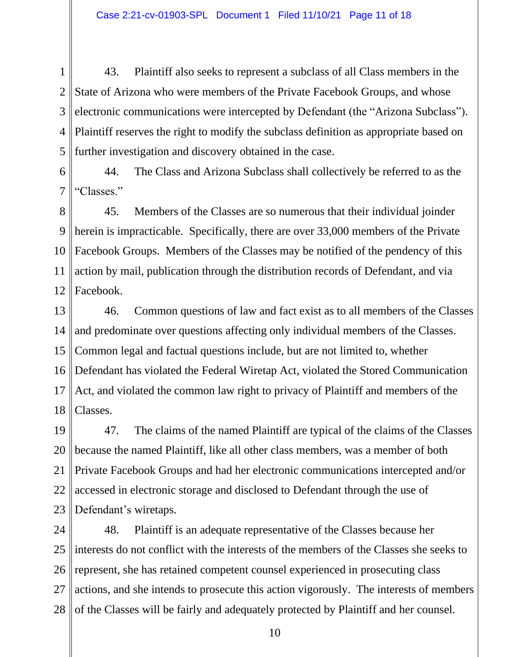1 2 3 4 5 43. Plaintiff also seeks to represent a subclass of all Class members in the State of Arizona who were members of the Private Facebook Groups, and whose electronic communications were intercepted by Defendant (the "Arizona Subclass"). Plaintiff reserves the right to modify the subclass definition as appropriate based on further investigation and discovery obtained in the case.

6 7 44. The Class and Arizona Subclass shall collectively be referred to as the "Classes."

8 9 10 11 12 45. Members of the Classes are so numerous that their individual joinder herein is impracticable. Specifically, there are over 33,000 members of the Private Facebook Groups. Members of the Classes may be notified of the pendency of this action by mail, publication through the distribution records of Defendant, and via Facebook.

13 14 15 16 17 18 46. Common questions of law and fact exist as to all members of the Classes and predominate over questions affecting only individual members of the Classes. Common legal and factual questions include, but are not limited to, whether Defendant has violated the Federal Wiretap Act, violated the Stored Communication Act, and violated the common law right to privacy of Plaintiff and members of the Classes.

19 20 21 22 23 47. The claims of the named Plaintiff are typical of the claims of the Classes because the named Plaintiff, like all other class members, was a member of both Private Facebook Groups and had her electronic communications intercepted and/or accessed in electronic storage and disclosed to Defendant through the use of Defendant's wiretaps.

24 25 26 27 28 48. Plaintiff is an adequate representative of the Classes because her interests do not conflict with the interests of the members of the Classes she seeks to represent, she has retained competent counsel experienced in prosecuting class actions, and she intends to prosecute this action vigorously. The interests of members of the Classes will be fairly and adequately protected by Plaintiff and her counsel.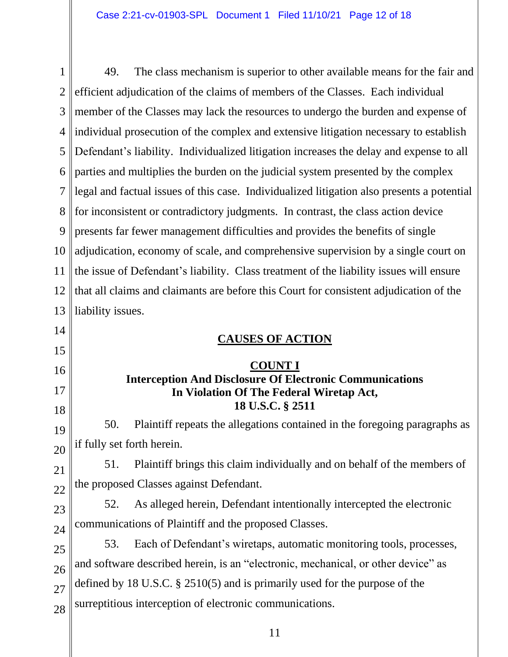1 2 3 4 5 6 7 8 9 10 11 12 13 14 15 16 17 18 19 20 21 22 23 24 25 26 27 28 49. The class mechanism is superior to other available means for the fair and efficient adjudication of the claims of members of the Classes. Each individual member of the Classes may lack the resources to undergo the burden and expense of individual prosecution of the complex and extensive litigation necessary to establish Defendant's liability. Individualized litigation increases the delay and expense to all parties and multiplies the burden on the judicial system presented by the complex legal and factual issues of this case. Individualized litigation also presents a potential for inconsistent or contradictory judgments. In contrast, the class action device presents far fewer management difficulties and provides the benefits of single adjudication, economy of scale, and comprehensive supervision by a single court on the issue of Defendant's liability. Class treatment of the liability issues will ensure that all claims and claimants are before this Court for consistent adjudication of the liability issues. **CAUSES OF ACTION COUNT I Interception And Disclosure Of Electronic Communications In Violation Of The Federal Wiretap Act, 18 U.S.C. § 2511** 50. Plaintiff repeats the allegations contained in the foregoing paragraphs as if fully set forth herein. 51. Plaintiff brings this claim individually and on behalf of the members of the proposed Classes against Defendant. 52. As alleged herein, Defendant intentionally intercepted the electronic communications of Plaintiff and the proposed Classes. 53. Each of Defendant's wiretaps, automatic monitoring tools, processes, and software described herein, is an "electronic, mechanical, or other device" as defined by 18 U.S.C. § 2510(5) and is primarily used for the purpose of the surreptitious interception of electronic communications.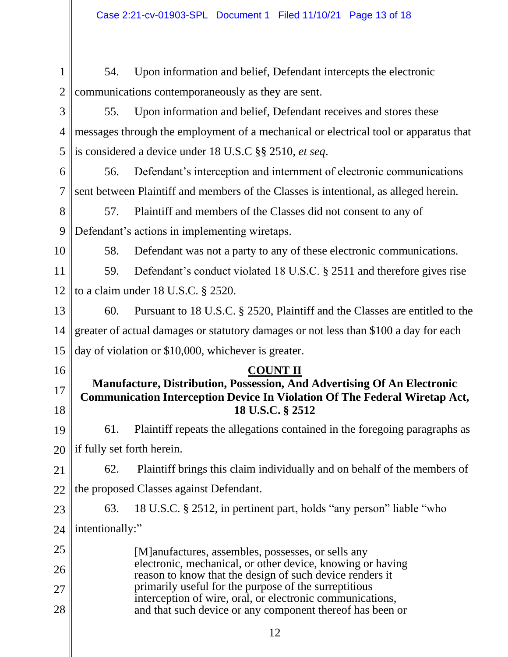1 2 54. Upon information and belief, Defendant intercepts the electronic communications contemporaneously as they are sent.

3 4 5 55. Upon information and belief, Defendant receives and stores these messages through the employment of a mechanical or electrical tool or apparatus that is considered a device under 18 U.S.C §§ 2510, *et seq*.

6 7 56. Defendant's interception and internment of electronic communications sent between Plaintiff and members of the Classes is intentional, as alleged herein.

8 9 57. Plaintiff and members of the Classes did not consent to any of Defendant's actions in implementing wiretaps.

10

58. Defendant was not a party to any of these electronic communications.

11 12 59. Defendant's conduct violated 18 U.S.C. § 2511 and therefore gives rise to a claim under 18 U.S.C. § 2520.

13 14 15 60. Pursuant to 18 U.S.C. § 2520, Plaintiff and the Classes are entitled to the greater of actual damages or statutory damages or not less than \$100 a day for each day of violation or \$10,000, whichever is greater.

16

17

18

#### **COUNT II**

### **Manufacture, Distribution, Possession, And Advertising Of An Electronic Communication Interception Device In Violation Of The Federal Wiretap Act, 18 U.S.C. § 2512**

19 20 61. Plaintiff repeats the allegations contained in the foregoing paragraphs as if fully set forth herein.

21 22 62. Plaintiff brings this claim individually and on behalf of the members of the proposed Classes against Defendant.

23 24 63. 18 U.S.C. § 2512, in pertinent part, holds "any person" liable "who intentionally:"

25 26 27 28 [M]anufactures, assembles, possesses, or sells any electronic, mechanical, or other device, knowing or having reason to know that the design of such device renders it primarily useful for the purpose of the surreptitious interception of wire, oral, or electronic communications, and that such device or any component thereof has been or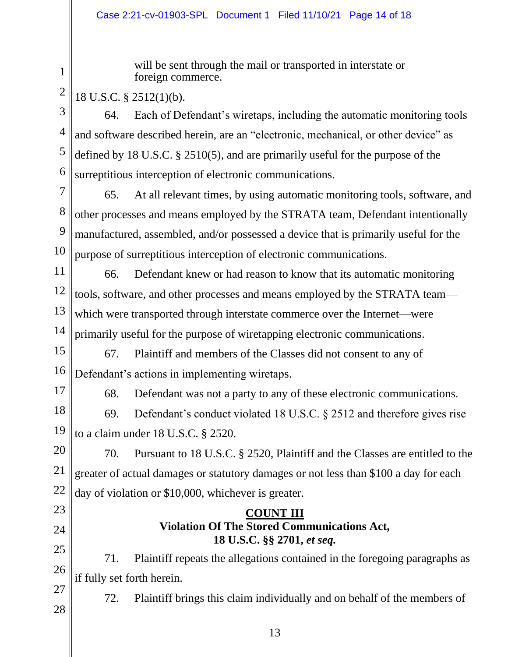will be sent through the mail or transported in interstate or foreign commerce.

18 U.S.C. § 2512(1)(b).

1

2

3 4 5 6 64. Each of Defendant's wiretaps, including the automatic monitoring tools and software described herein, are an "electronic, mechanical, or other device" as defined by 18 U.S.C. § 2510(5), and are primarily useful for the purpose of the surreptitious interception of electronic communications.

7 8 9 10 65. At all relevant times, by using automatic monitoring tools, software, and other processes and means employed by the STRATA team, Defendant intentionally manufactured, assembled, and/or possessed a device that is primarily useful for the purpose of surreptitious interception of electronic communications.

11 12 13 14 66. Defendant knew or had reason to know that its automatic monitoring tools, software, and other processes and means employed by the STRATA team which were transported through interstate commerce over the Internet—were primarily useful for the purpose of wiretapping electronic communications.

- 15 16 67. Plaintiff and members of the Classes did not consent to any of Defendant's actions in implementing wiretaps.
- 17

68. Defendant was not a party to any of these electronic communications.

18 19 69. Defendant's conduct violated 18 U.S.C. § 2512 and therefore gives rise to a claim under 18 U.S.C. § 2520.

20 21 22 70. Pursuant to 18 U.S.C. § 2520, Plaintiff and the Classes are entitled to the greater of actual damages or statutory damages or not less than \$100 a day for each day of violation or \$10,000, whichever is greater.

## 23 24

27

28

#### **COUNT III Violation Of The Stored Communications Act, 18 U.S.C. §§ 2701,** *et seq.*

25 26 71. Plaintiff repeats the allegations contained in the foregoing paragraphs as if fully set forth herein.

72. Plaintiff brings this claim individually and on behalf of the members of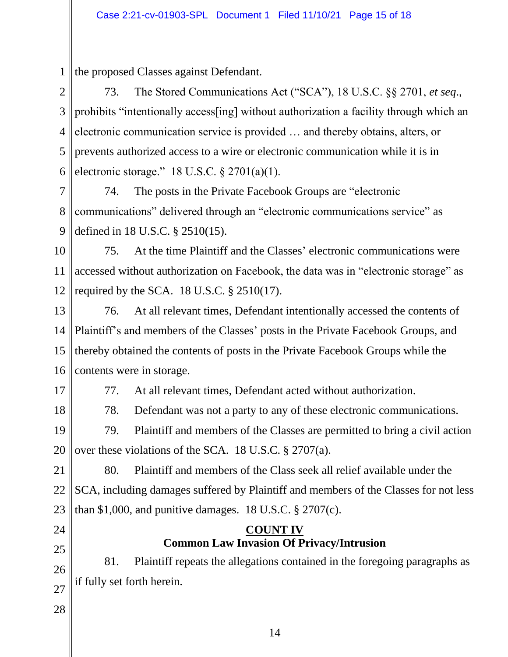1 the proposed Classes against Defendant.

2 3 4 5 6 73. The Stored Communications Act ("SCA"), 18 U.S.C. §§ 2701, *et seq*., prohibits "intentionally access[ing] without authorization a facility through which an electronic communication service is provided … and thereby obtains, alters, or prevents authorized access to a wire or electronic communication while it is in electronic storage." 18 U.S.C. § 2701(a)(1).

7 8 9 74. The posts in the Private Facebook Groups are "electronic communications" delivered through an "electronic communications service" as defined in 18 U.S.C. § 2510(15).

10 11 12 75. At the time Plaintiff and the Classes' electronic communications were accessed without authorization on Facebook, the data was in "electronic storage" as required by the SCA.  $18$  U.S.C.  $\S$  2510(17).

13 14 15 16 76. At all relevant times, Defendant intentionally accessed the contents of Plaintiff's and members of the Classes' posts in the Private Facebook Groups, and thereby obtained the contents of posts in the Private Facebook Groups while the contents were in storage.

17

18

77. At all relevant times, Defendant acted without authorization.

78. Defendant was not a party to any of these electronic communications.

19 20 79. Plaintiff and members of the Classes are permitted to bring a civil action over these violations of the SCA. 18 U.S.C. § 2707(a).

21 22 23 80. Plaintiff and members of the Class seek all relief available under the SCA, including damages suffered by Plaintiff and members of the Classes for not less than \$1,000, and punitive damages. 18 U.S.C.  $\S 2707(c)$ .

24

25

26 27 81. Plaintiff repeats the allegations contained in the foregoing paragraphs as if fully set forth herein.

**COUNT IV Common Law Invasion Of Privacy/Intrusion**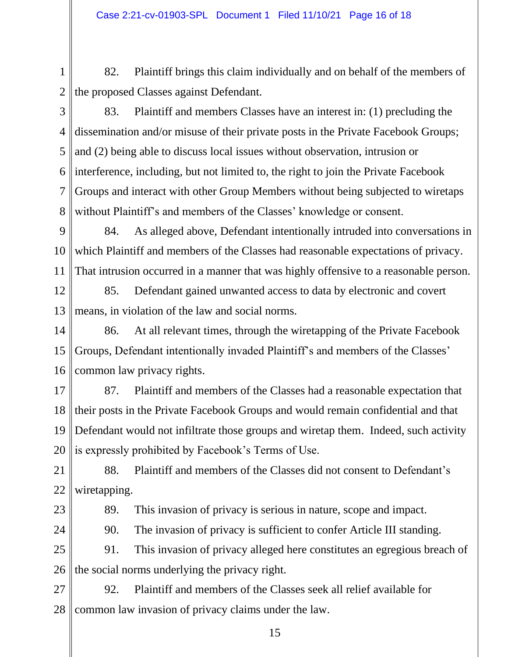1 2 82. Plaintiff brings this claim individually and on behalf of the members of the proposed Classes against Defendant.

3 4 5 6 7 8 83. Plaintiff and members Classes have an interest in: (1) precluding the dissemination and/or misuse of their private posts in the Private Facebook Groups; and (2) being able to discuss local issues without observation, intrusion or interference, including, but not limited to, the right to join the Private Facebook Groups and interact with other Group Members without being subjected to wiretaps without Plaintiff's and members of the Classes' knowledge or consent.

9 10 11 84. As alleged above, Defendant intentionally intruded into conversations in which Plaintiff and members of the Classes had reasonable expectations of privacy. That intrusion occurred in a manner that was highly offensive to a reasonable person.

12 13 85. Defendant gained unwanted access to data by electronic and covert means, in violation of the law and social norms.

14 15 16 86. At all relevant times, through the wiretapping of the Private Facebook Groups, Defendant intentionally invaded Plaintiff's and members of the Classes' common law privacy rights.

17 18 19 20 87. Plaintiff and members of the Classes had a reasonable expectation that their posts in the Private Facebook Groups and would remain confidential and that Defendant would not infiltrate those groups and wiretap them. Indeed, such activity is expressly prohibited by Facebook's Terms of Use.

21 22 88. Plaintiff and members of the Classes did not consent to Defendant's wiretapping.

23

89. This invasion of privacy is serious in nature, scope and impact.

24

90. The invasion of privacy is sufficient to confer Article III standing.

25 26 91. This invasion of privacy alleged here constitutes an egregious breach of the social norms underlying the privacy right.

27 28 92. Plaintiff and members of the Classes seek all relief available for common law invasion of privacy claims under the law.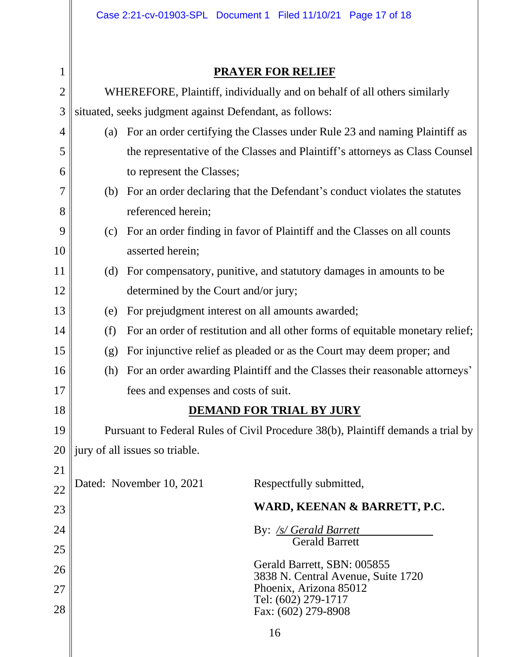$\left| \begin{matrix} 1 \end{matrix} \right|$ 

# **PRAYER FOR RELIEF**

| $\sqrt{2}$ | WHEREFORE, Plaintiff, individually and on behalf of all others similarly         |                                                                               |  |  |
|------------|----------------------------------------------------------------------------------|-------------------------------------------------------------------------------|--|--|
| 3          | situated, seeks judgment against Defendant, as follows:                          |                                                                               |  |  |
| 4          | (a)                                                                              | For an order certifying the Classes under Rule 23 and naming Plaintiff as     |  |  |
| 5          |                                                                                  | the representative of the Classes and Plaintiff's attorneys as Class Counsel  |  |  |
| 6          |                                                                                  | to represent the Classes;                                                     |  |  |
| 7          | (b)                                                                              | For an order declaring that the Defendant's conduct violates the statutes     |  |  |
| 8          |                                                                                  | referenced herein;                                                            |  |  |
| 9          | (c)                                                                              | For an order finding in favor of Plaintiff and the Classes on all counts      |  |  |
| 10         |                                                                                  | asserted herein;                                                              |  |  |
| 11         | (d)                                                                              | For compensatory, punitive, and statutory damages in amounts to be            |  |  |
| 12         |                                                                                  | determined by the Court and/or jury;                                          |  |  |
| 13         | (e)                                                                              | For prejudgment interest on all amounts awarded;                              |  |  |
| 14         | (f)                                                                              | For an order of restitution and all other forms of equitable monetary relief; |  |  |
| 15         | (g)                                                                              | For injunctive relief as pleaded or as the Court may deem proper; and         |  |  |
| 16         | (h)                                                                              | For an order awarding Plaintiff and the Classes their reasonable attorneys'   |  |  |
| 17         |                                                                                  | fees and expenses and costs of suit.                                          |  |  |
| 18         |                                                                                  | <b>DEMAND FOR TRIAL BY JURY</b>                                               |  |  |
| 19         | Pursuant to Federal Rules of Civil Procedure 38(b), Plaintiff demands a trial by |                                                                               |  |  |
| 20         | $\parallel$ jury of all issues so triable.                                       |                                                                               |  |  |
| 21         |                                                                                  |                                                                               |  |  |
| 22         |                                                                                  | Dated: November 10, 2021<br>Respectfully submitted,                           |  |  |
| 23         |                                                                                  | WARD, KEENAN & BARRETT, P.C.                                                  |  |  |
| 24         | By: <u>/s/ Gerald Barrett</u><br><b>Gerald Barrett</b>                           |                                                                               |  |  |
| 25         |                                                                                  |                                                                               |  |  |
| 26         |                                                                                  | Gerald Barrett, SBN: 005855<br>3838 N. Central Avenue, Suite 1720             |  |  |
| 27         |                                                                                  | Phoenix, Arizona 85012<br>Tel: (602) 279-1717                                 |  |  |
| 28         |                                                                                  | Fax: (602) 279-8908                                                           |  |  |
|            |                                                                                  | 16                                                                            |  |  |
|            |                                                                                  |                                                                               |  |  |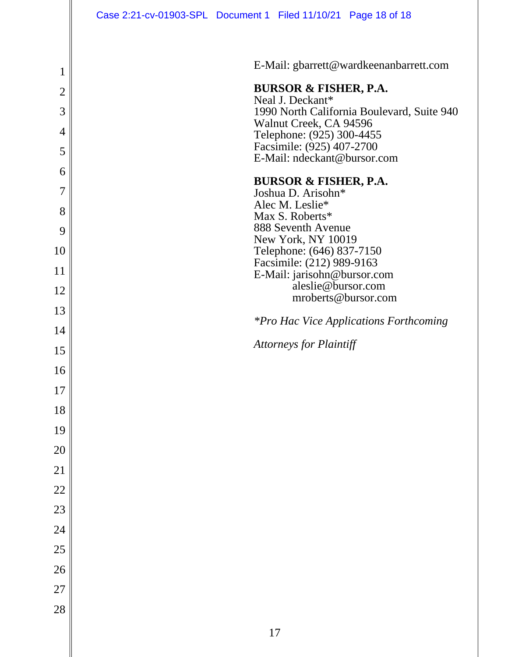|                | Case 2:21-cv-01903-SPL Document 1 Filed 11/10/21 Page 18 of 18 |
|----------------|----------------------------------------------------------------|
|                |                                                                |
| 1              | E-Mail: gbarrett@wardkeenanbarrett.com                         |
| $\overline{2}$ | <b>BURSOR &amp; FISHER, P.A.</b>                               |
| 3              | Neal J. Deckant*<br>1990 North California Boulevard, Suite 940 |
| 4              | Walnut Creek, CA 94596<br>Telephone: (925) 300-4455            |
| 5              | Facsimile: (925) 407-2700                                      |
| 6              | E-Mail: ndeckant@bursor.com                                    |
| 7              | <b>BURSOR &amp; FISHER, P.A.</b><br>Joshua D. Arisohn*         |
| 8              | Alec M. Leslie*                                                |
| 9              | Max S. Roberts*<br>888 Seventh Avenue                          |
| 10             | New York, NY 10019<br>Telephone: (646) 837-7150                |
| 11             | Facsimile: (212) 989-9163<br>E-Mail: jarisohn@bursor.com       |
| 12             | aleslie@bursor.com                                             |
| 13             | mroberts@bursor.com                                            |
| 14             | <i>*Pro Hac Vice Applications Forthcoming</i>                  |
| 15             | <b>Attorneys for Plaintiff</b>                                 |
| 16             |                                                                |
| 17             |                                                                |
| 18             |                                                                |
| 19             |                                                                |
| 20             |                                                                |
| 21             |                                                                |
| 22             |                                                                |
| 23             |                                                                |
| 24             |                                                                |
| 25             |                                                                |
| 26             |                                                                |
| 27             |                                                                |
| 28             |                                                                |
|                | $17\,$                                                         |
|                |                                                                |